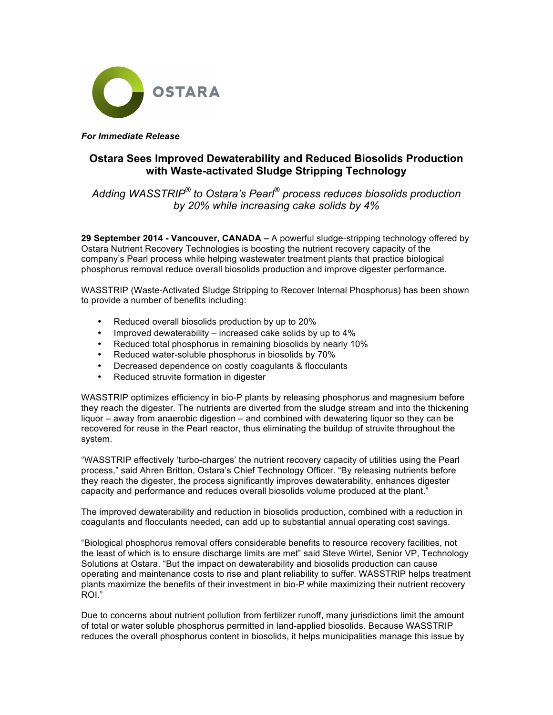

*For Immediate Release*

## **Ostara Sees Improved Dewaterability and Reduced Biosolids Production with Waste-activated Sludge Stripping Technology**

*Adding WASSTRIP® to Ostara's Pearl® process reduces biosolids production by 20% while increasing cake solids by 4%*

**29 September 2014 - Vancouver, CANADA –** A powerful sludge-stripping technology offered by Ostara Nutrient Recovery Technologies is boosting the nutrient recovery capacity of the company's Pearl process while helping wastewater treatment plants that practice biological phosphorus removal reduce overall biosolids production and improve digester performance.

WASSTRIP (Waste-Activated Sludge Stripping to Recover Internal Phosphorus) has been shown to provide a number of benefits including:

- Reduced overall biosolids production by up to 20%
- Improved dewaterability increased cake solids by up to 4%<br>• Reduced total phosphorus in remaining biosolids by nearly 10
- Reduced total phosphorus in remaining biosolids by nearly 10%
- Reduced water-soluble phosphorus in biosolids by 70%
- Decreased dependence on costly coagulants & flocculants
- Reduced struvite formation in digester

WASSTRIP optimizes efficiency in bio-P plants by releasing phosphorus and magnesium before they reach the digester. The nutrients are diverted from the sludge stream and into the thickening liquor – away from anaerobic digestion – and combined with dewatering liquor so they can be recovered for reuse in the Pearl reactor, thus eliminating the buildup of struvite throughout the system.

"WASSTRIP effectively 'turbo-charges' the nutrient recovery capacity of utilities using the Pearl process," said Ahren Britton, Ostara's Chief Technology Officer. "By releasing nutrients before they reach the digester, the process significantly improves dewaterability, enhances digester capacity and performance and reduces overall biosolids volume produced at the plant."

The improved dewaterability and reduction in biosolids production, combined with a reduction in coagulants and flocculants needed, can add up to substantial annual operating cost savings.

"Biological phosphorus removal offers considerable benefits to resource recovery facilities, not the least of which is to ensure discharge limits are met" said Steve Wirtel, Senior VP, Technology Solutions at Ostara. "But the impact on dewaterability and biosolids production can cause operating and maintenance costs to rise and plant reliability to suffer. WASSTRIP helps treatment plants maximize the benefits of their investment in bio-P while maximizing their nutrient recovery ROI."

Due to concerns about nutrient pollution from fertilizer runoff, many jurisdictions limit the amount of total or water soluble phosphorus permitted in land-applied biosolids. Because WASSTRIP reduces the overall phosphorus content in biosolids, it helps municipalities manage this issue by